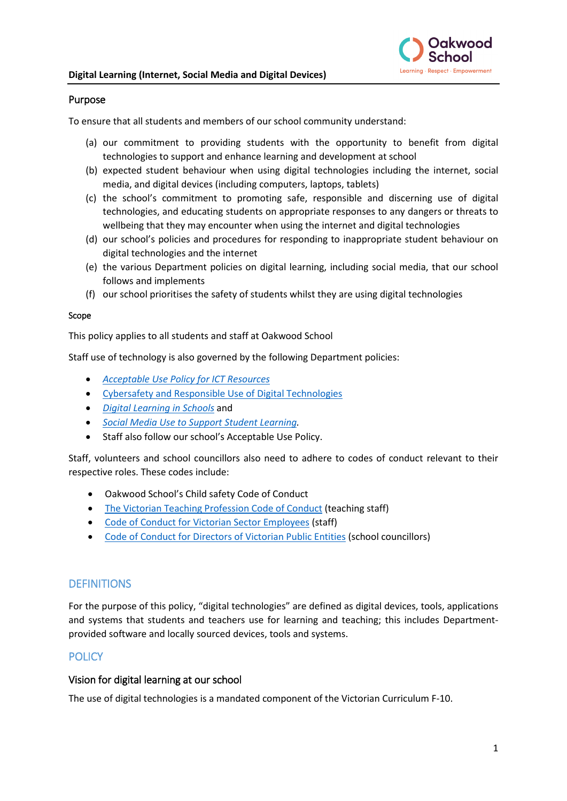

#### Purpose

To ensure that all students and members of our school community understand:

- (a) our commitment to providing students with the opportunity to benefit from digital technologies to support and enhance learning and development at school
- (b) expected student behaviour when using digital technologies including the internet, social media, and digital devices (including computers, laptops, tablets)
- (c) the school's commitment to promoting safe, responsible and discerning use of digital technologies, and educating students on appropriate responses to any dangers or threats to wellbeing that they may encounter when using the internet and digital technologies
- (d) our school's policies and procedures for responding to inappropriate student behaviour on digital technologies and the internet
- (e) the various Department policies on digital learning, including social media, that our school follows and implements
- (f) our school prioritises the safety of students whilst they are using digital technologies

#### Scope

This policy applies to all students and staff at Oakwood School

Staff use of technology is also governed by the following Department policies:

- *[Acceptable Use Policy](https://www2.education.vic.gov.au/pal/ict-acceptable-use/overview) for ICT Resources*
- [Cybersafety and Responsible Use of Digital Technologies](https://www2.education.vic.gov.au/pal/cybersafety/policy)
- *[Digital Learning in Schools](https://www2.education.vic.gov.au/pal/digital-learning/policy)* and
- *[Social Media Use to Support Student Learning.](https://www2.education.vic.gov.au/pal/social-media/policy)*
- Staff also follow our school's Acceptable Use Policy.

Staff, volunteers and school councillors also need to adhere to codes of conduct relevant to their respective roles. These codes include:

- Oakwood School's Child safety Code of Conduct
- [The Victorian Teaching Profession Code of Conduct](https://www.vit.vic.edu.au/__data/assets/pdf_file/0018/35604/Code-of-Conduct-2016.pdf) (teaching staff)
- [Code of Conduct for Victorian Sector Employees](https://www2.education.vic.gov.au/pal/code-conduct/overview) (staff)
- [Code of Conduct for Directors of Victorian Public Entities](https://www2.education.vic.gov.au/pal/school-council-conduct/policy) (school councillors)

#### **DEFINITIONS**

For the purpose of this policy, "digital technologies" are defined as digital devices, tools, applications and systems that students and teachers use for learning and teaching; this includes Departmentprovided software and locally sourced devices, tools and systems.

#### **POLICY**

#### Vision for digital learning at our school

The use of digital technologies is a mandated component of the Victorian Curriculum F-10.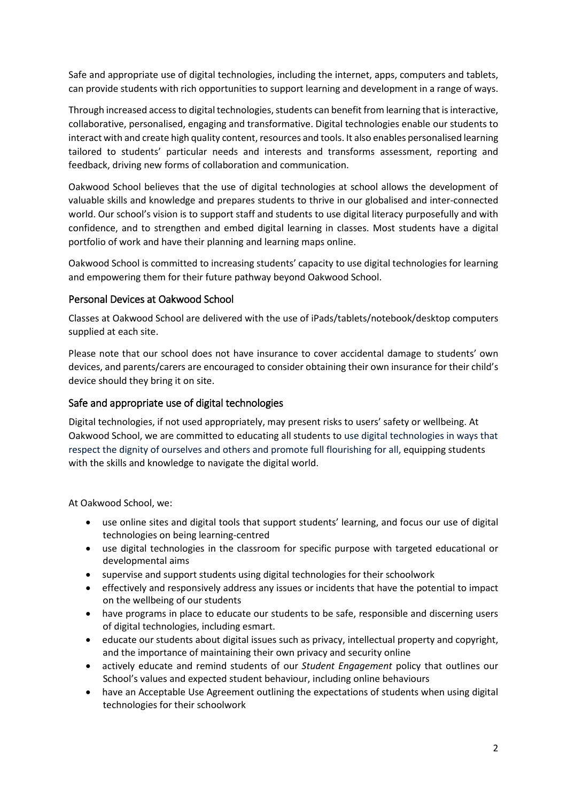Safe and appropriate use of digital technologies, including the internet, apps, computers and tablets, can provide students with rich opportunities to support learning and development in a range of ways.

Through increased access to digital technologies, students can benefit from learning that is interactive, collaborative, personalised, engaging and transformative. Digital technologies enable our students to interact with and create high quality content, resources and tools. It also enables personalised learning tailored to students' particular needs and interests and transforms assessment, reporting and feedback, driving new forms of collaboration and communication.

Oakwood School believes that the use of digital technologies at school allows the development of valuable skills and knowledge and prepares students to thrive in our globalised and inter-connected world. Our school's vision is to support staff and students to use digital literacy purposefully and with confidence, and to strengthen and embed digital learning in classes. Most students have a digital portfolio of work and have their planning and learning maps online.

Oakwood School is committed to increasing students' capacity to use digital technologies for learning and empowering them for their future pathway beyond Oakwood School.

#### Personal Devices at Oakwood School

Classes at Oakwood School are delivered with the use of iPads/tablets/notebook/desktop computers supplied at each site.

Please note that our school does not have insurance to cover accidental damage to students' own devices, and parents/carers are encouraged to consider obtaining their own insurance for their child's device should they bring it on site.

#### Safe and appropriate use of digital technologies

Digital technologies, if not used appropriately, may present risks to users' safety or wellbeing. At Oakwood School, we are committed to educating all students to use digital technologies in ways that respect the dignity of ourselves and others and promote full flourishing for all, equipping students with the skills and knowledge to navigate the digital world.

At Oakwood School, we:

- use online sites and digital tools that support students' learning, and focus our use of digital technologies on being learning-centred
- use digital technologies in the classroom for specific purpose with targeted educational or developmental aims
- supervise and support students using digital technologies for their schoolwork
- effectively and responsively address any issues or incidents that have the potential to impact on the wellbeing of our students
- have programs in place to educate our students to be safe, responsible and discerning users of digital technologies, including esmart.
- educate our students about digital issues such as privacy, intellectual property and copyright, and the importance of maintaining their own privacy and security online
- actively educate and remind students of our *Student Engagement* policy that outlines our School's values and expected student behaviour, including online behaviours
- have an Acceptable Use Agreement outlining the expectations of students when using digital technologies for their schoolwork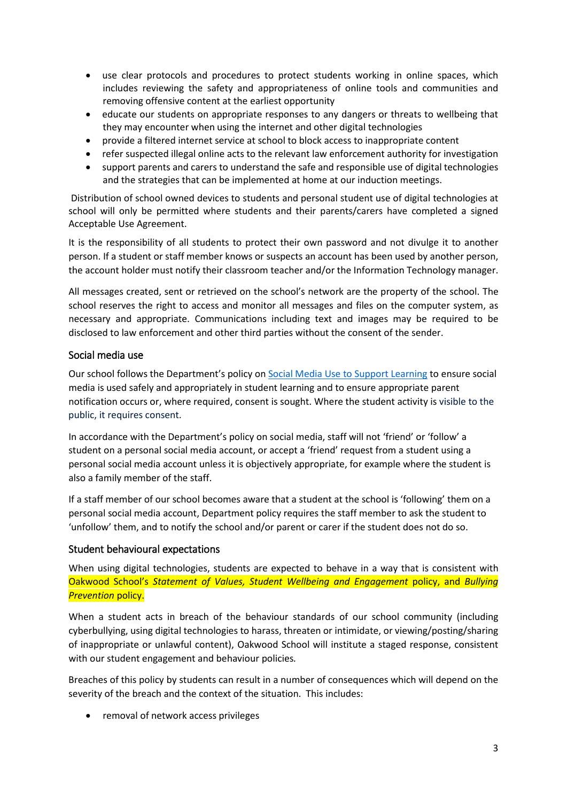- use clear protocols and procedures to protect students working in online spaces, which includes reviewing the safety and appropriateness of online tools and communities and removing offensive content at the earliest opportunity
- educate our students on appropriate responses to any dangers or threats to wellbeing that they may encounter when using the internet and other digital technologies
- provide a filtered internet service at school to block access to inappropriate content
- refer suspected illegal online acts to the relevant law enforcement authority for investigation
- support parents and carers to understand the safe and responsible use of digital technologies and the strategies that can be implemented at home at our induction meetings.

Distribution of school owned devices to students and personal student use of digital technologies at school will only be permitted where students and their parents/carers have completed a signed Acceptable Use Agreement.

It is the responsibility of all students to protect their own password and not divulge it to another person. If a student or staff member knows or suspects an account has been used by another person, the account holder must notify their classroom teacher and/or the Information Technology manager.

All messages created, sent or retrieved on the school's network are the property of the school. The school reserves the right to access and monitor all messages and files on the computer system, as necessary and appropriate. Communications including text and images may be required to be disclosed to law enforcement and other third parties without the consent of the sender.

#### Social media use

Our school follows the Department's policy o[n Social Media Use to Support Learning](https://www2.education.vic.gov.au/pal/social-media/policy) to ensure social media is used safely and appropriately in student learning and to ensure appropriate parent notification occurs or, where required, consent is sought. Where the student activity is visible to the public, it requires consent.

In accordance with the Department's policy on social media, staff will not 'friend' or 'follow' a student on a personal social media account, or accept a 'friend' request from a student using a personal social media account unless it is objectively appropriate, for example where the student is also a family member of the staff.

If a staff member of our school becomes aware that a student at the school is 'following' them on a personal social media account, Department policy requires the staff member to ask the student to 'unfollow' them, and to notify the school and/or parent or carer if the student does not do so.

### Student behavioural expectations

When using digital technologies, students are expected to behave in a way that is consistent with Oakwood School's *Statement of Values, Student Wellbeing and Engagement* policy, and *Bullying*  **Prevention policy.** 

When a student acts in breach of the behaviour standards of our school community (including cyberbullying, using digital technologies to harass, threaten or intimidate, or viewing/posting/sharing of inappropriate or unlawful content), Oakwood School will institute a staged response, consistent with our student engagement and behaviour policies*.*

Breaches of this policy by students can result in a number of consequences which will depend on the severity of the breach and the context of the situation. This includes:

• removal of network access privileges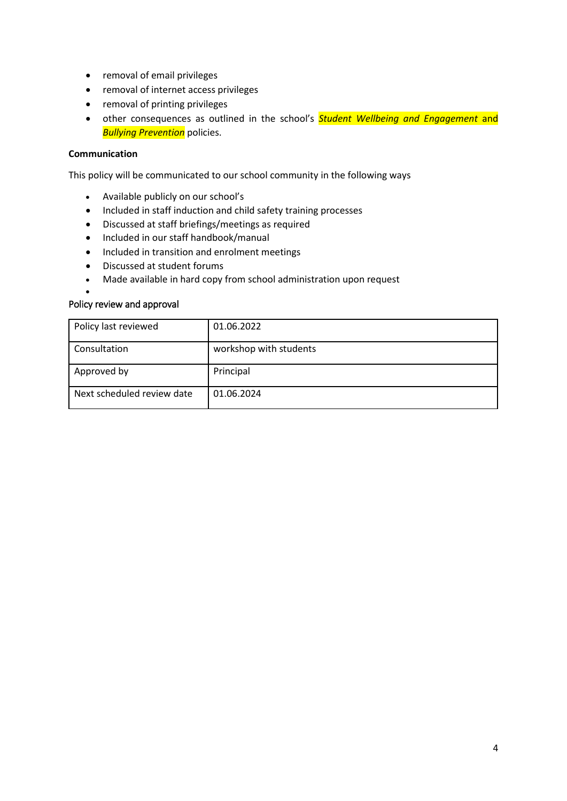- removal of email privileges
- removal of internet access privileges
- removal of printing privileges
- other consequences as outlined in the school's *Student Wellbeing and Engagement* and *Bullying Prevention* policies.

#### **Communication**

This policy will be communicated to our school community in the following ways

- Available publicly on our school's
- Included in staff induction and child safety training processes
- Discussed at staff briefings/meetings as required
- Included in our staff handbook/manual
- Included in transition and enrolment meetings
- Discussed at student forums
- Made available in hard copy from school administration upon request

#### Policy review and approval

•

| Policy last reviewed       | 01.06.2022             |
|----------------------------|------------------------|
| Consultation               | workshop with students |
| Approved by                | Principal              |
| Next scheduled review date | 01.06.2024             |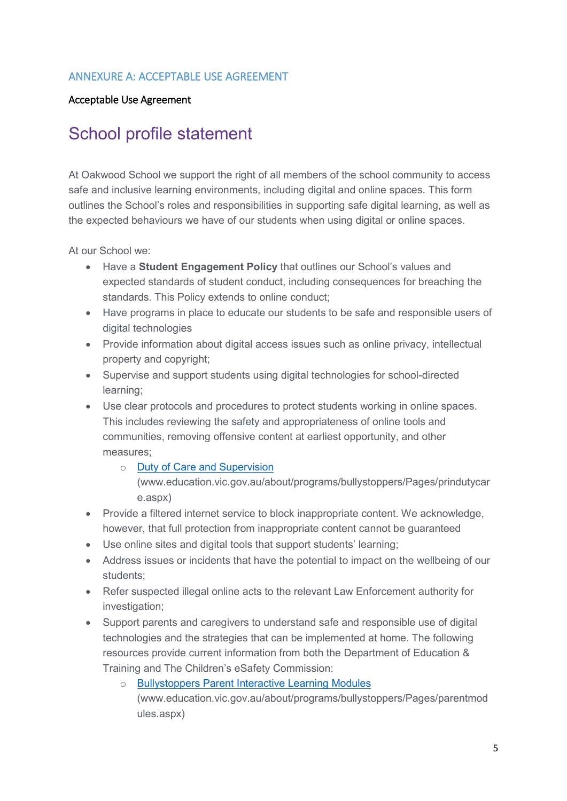### ANNEXURE A: ACCEPTABLE USE AGREEMENT

### Acceptable Use Agreement

## School profile statement

At Oakwood School we support the right of all members of the school community to access safe and inclusive learning environments, including digital and online spaces. This form outlines the School's roles and responsibilities in supporting safe digital learning, as well as the expected behaviours we have of our students when using digital or online spaces.

At our School we:

- Have a **Student Engagement Policy** that outlines our School's values and expected standards of student conduct, including consequences for breaching the standards. This Policy extends to online conduct;
- Have programs in place to educate our students to be safe and responsible users of digital technologies
- Provide information about digital access issues such as online privacy, intellectual property and copyright;
- Supervise and support students using digital technologies for school-directed learning;
- Use clear protocols and procedures to protect students working in online spaces. This includes reviewing the safety and appropriateness of online tools and communities, removing offensive content at earliest opportunity, and other measures;
	- o [Duty of Care and Supervision](http://www.education.vic.gov.au/about/programs/bullystoppers/Pages/prindutycare.aspx)

[\(www.education.vic.gov.au/about/programs/bullystoppers/Pages/prindutycar](http://www.education.vic.gov.au/about/programs/bullystoppers/Pages/prindutycare.aspx) [e.aspx\)](http://www.education.vic.gov.au/about/programs/bullystoppers/Pages/prindutycare.aspx)

- Provide a filtered internet service to block inappropriate content. We acknowledge, however, that full protection from inappropriate content cannot be guaranteed
- Use online sites and digital tools that support students' learning;
- Address issues or incidents that have the potential to impact on the wellbeing of our students;
- Refer suspected illegal online acts to the relevant Law Enforcement authority for investigation;
- Support parents and caregivers to understand safe and responsible use of digital technologies and the strategies that can be implemented at home. The following resources provide current information from both the [Department of Education &](http://www.education.vic.gov.au/about/programs/bullystoppers/Pages/parentmodules.aspx)  [Training](http://www.education.vic.gov.au/about/programs/bullystoppers/Pages/parentmodules.aspx) and The Children's eSafety Commission:
	- **[Bullystoppers Parent Interactive Learning Modules](http://www.education.vic.gov.au/about/programs/bullystoppers/Pages/parentmodules.aspx)**

[\(www.education.vic.gov.au/about/programs/bullystoppers/Pages/parentmod](http://www.education.vic.gov.au/about/programs/bullystoppers/Pages/parentmodules.aspx) [ules.aspx\)](http://www.education.vic.gov.au/about/programs/bullystoppers/Pages/parentmodules.aspx)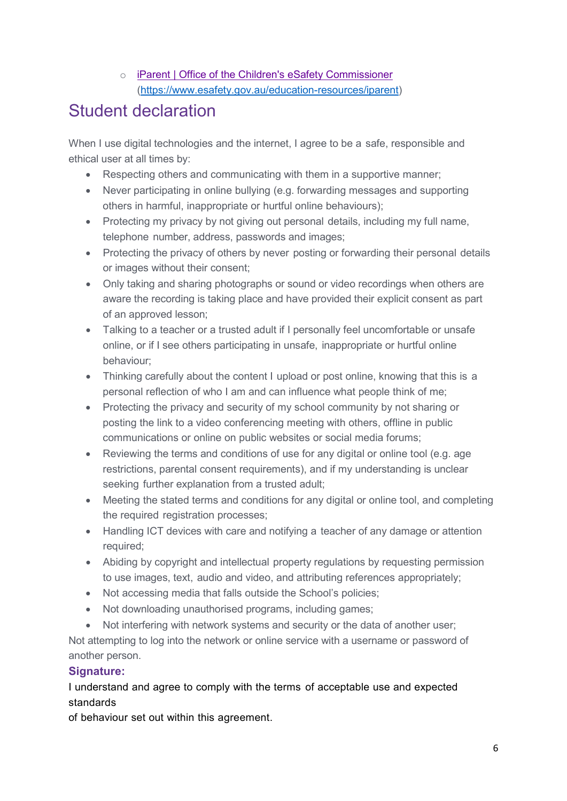o [iParent | Office of the Children's eSafety Commissioner](https://www.esafety.gov.au/education-resources/iparent) [\(https://www.esafety.gov.au/education-resources/iparent\)](https://www.esafety.gov.au/education-resources/iparent)

# Student declaration

When I use digital technologies and the internet. I agree to be a safe, responsible and ethical user at all times by:

- Respecting others and communicating with them in a supportive manner;
- Never participating in online bullying (e.g. forwarding messages and supporting others in harmful, inappropriate or hurtful online behaviours);
- Protecting my privacy by not giving out personal details, including my full name, telephone number, address, passwords and images;
- Protecting the privacy of others by never posting or forwarding their personal details or images without their consent;
- Only taking and sharing photographs or sound or video recordings when others are aware the recording is taking place and have provided their explicit consent as part of an approved lesson;
- Talking to a teacher or a trusted adult if I personally feel uncomfortable or unsafe online, or if I see others participating in unsafe, inappropriate or hurtful online behaviour;
- Thinking carefully about the content I upload or post online, knowing that this is a personal reflection of who I am and can influence what people think of me;
- Protecting the privacy and security of my school community by not sharing or posting the link to a video conferencing meeting with others, offline in public communications or online on public websites or social media forums;
- Reviewing the terms and conditions of use for any digital or online tool (e.g. age restrictions, parental consent requirements), and if my understanding is unclear seeking further explanation from a trusted adult;
- Meeting the stated terms and conditions for any digital or online tool, and completing the required registration processes;
- Handling ICT devices with care and notifying a teacher of any damage or attention required;
- Abiding by copyright and intellectual property regulations by requesting permission to use images, text, audio and video, and attributing references appropriately;
- Not accessing media that falls outside the School's policies;
- Not downloading unauthorised programs, including games;
- Not interfering with network systems and security or the data of another user;

Not attempting to log into the network or online service with a username or password of another person.

## **Signature:**

## I understand and agree to comply with the terms of acceptable use and expected standards

of behaviour set out within this agreement.